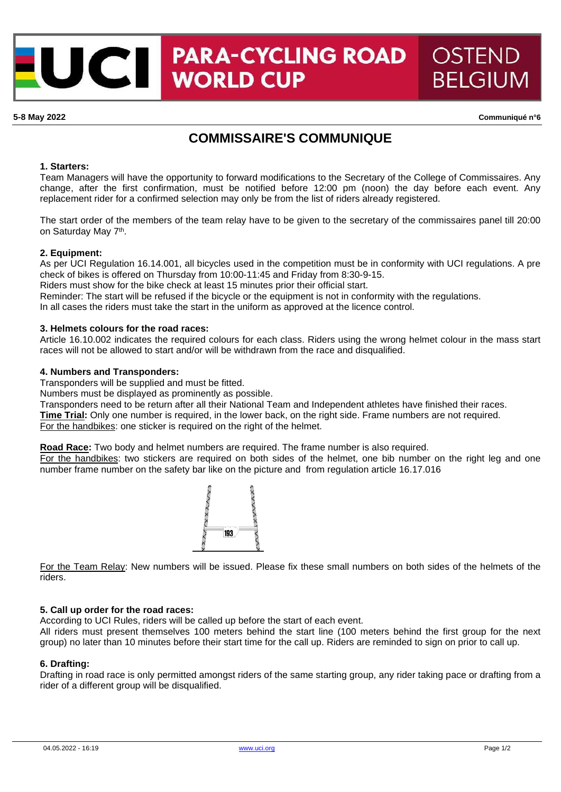## **PARA-CYCLING ROAD** OSTEND ICII **WORLD CUP BELGIUM**

**5-8 May 2022 Communiqué n°6**

# **COMMISSAIRE'S COMMUNIQUE**

#### **1. Starters:**

Team Managers will have the opportunity to forward modifications to the Secretary of the College of Commissaires. Any change, after the first confirmation, must be notified before 12:00 pm (noon) the day before each event. Any replacement rider for a confirmed selection may only be from the list of riders already registered.

The start order of the members of the team relay have to be given to the secretary of the commissaires panel till 20:00 on Saturday May 7<sup>th</sup>.

#### **2. Equipment:**

As per UCI Regulation 16.14.001, all bicycles used in the competition must be in conformity with UCI regulations. A pre check of bikes is offered on Thursday from 10:00-11:45 and Friday from 8:30-9-15.

Riders must show for the bike check at least 15 minutes prior their official start.

Reminder: The start will be refused if the bicycle or the equipment is not in conformity with the regulations.

In all cases the riders must take the start in the uniform as approved at the licence control.

### **3. Helmets colours for the road races:**

Article 16.10.002 indicates the required colours for each class. Riders using the wrong helmet colour in the mass start races will not be allowed to start and/or will be withdrawn from the race and disqualified.

### **4. Numbers and Transponders:**

Transponders will be supplied and must be fitted.

Numbers must be displayed as prominently as possible.

Transponders need to be return after all their National Team and Independent athletes have finished their races.

**Time Trial:** Only one number is required, in the lower back, on the right side. Frame numbers are not required.

For the handbikes: one sticker is required on the right of the helmet.

**Road Race:** Two body and helmet numbers are required. The frame number is also required.

For the handbikes: two stickers are required on both sides of the helmet, one bib number on the right leg and one number frame number on the safety bar like on the picture and from regulation article 16.17.016



For the Team Relay: New numbers will be issued. Please fix these small numbers on both sides of the helmets of the riders.

#### **5. Call up order for the road races:**

According to UCI Rules, riders will be called up before the start of each event.

All riders must present themselves 100 meters behind the start line (100 meters behind the first group for the next group) no later than 10 minutes before their start time for the call up. Riders are reminded to sign on prior to call up.

## **6. Drafting:**

Drafting in road race is only permitted amongst riders of the same starting group, any rider taking pace or drafting from a rider of a different group will be disqualified.